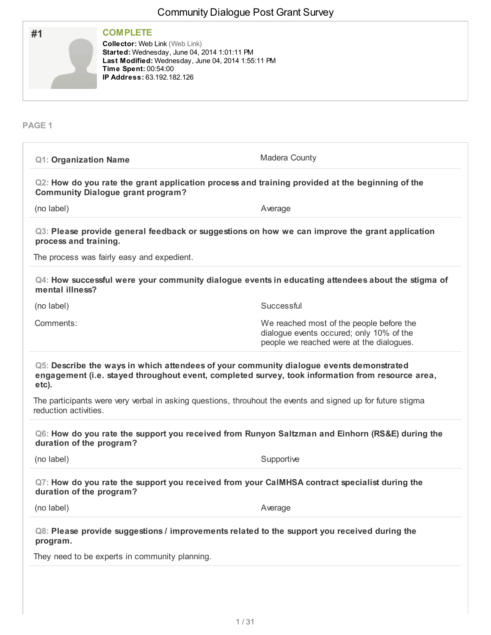| #1            | <b>COMPLETE</b><br><b>Collector: Web Link (Web Link)</b><br>Started: Wednesday, June 04, 2014 1:01:11 PM<br>Last Modified: Wednesday, June 04, 2014 1:55:11 PM<br>Time Spent: 00:54:00<br>IP Address: 63.192.182.126 |
|---------------|----------------------------------------------------------------------------------------------------------------------------------------------------------------------------------------------------------------------|
| <b>PAGE 1</b> |                                                                                                                                                                                                                      |

| <b>Q1: Organization Name</b>                                                                                                                                                                         | Madera County                                                                                                                    |  |
|------------------------------------------------------------------------------------------------------------------------------------------------------------------------------------------------------|----------------------------------------------------------------------------------------------------------------------------------|--|
| Q2: How do you rate the grant application process and training provided at the beginning of the<br><b>Community Dialogue grant program?</b>                                                          |                                                                                                                                  |  |
| (no label)                                                                                                                                                                                           | Average                                                                                                                          |  |
| Q3: Please provide general feedback or suggestions on how we can improve the grant application<br>process and training.                                                                              |                                                                                                                                  |  |
| The process was fairly easy and expedient.                                                                                                                                                           |                                                                                                                                  |  |
| Q4: How successful were your community dialogue events in educating attendees about the stigma of<br>mental illness?                                                                                 |                                                                                                                                  |  |
| (no label)                                                                                                                                                                                           | Successful                                                                                                                       |  |
| Comments:                                                                                                                                                                                            | We reached most of the people before the<br>dialogue events occured; only 10% of the<br>people we reached were at the dialogues. |  |
| Q5: Describe the ways in which attendees of your community dialogue events demonstrated<br>engagement (i.e. stayed throughout event, completed survey, took information from resource area,<br>etc). |                                                                                                                                  |  |
| The participants were very verbal in asking questions, throuhout the events and signed up for future stigma<br>reduction activities.                                                                 |                                                                                                                                  |  |
| Q6: How do you rate the support you received from Runyon Saltzman and Einhorn (RS&E) during the<br>duration of the program?                                                                          |                                                                                                                                  |  |
| (no label)                                                                                                                                                                                           | Supportive                                                                                                                       |  |
| Q7: How do you rate the support you received from your CaIMHSA contract specialist during the<br>duration of the program?                                                                            |                                                                                                                                  |  |
| (no label)                                                                                                                                                                                           | Average                                                                                                                          |  |
| Q8: Please provide suggestions / improvements related to the support you received during the<br>program.                                                                                             |                                                                                                                                  |  |
| They need to be experts in community planning.                                                                                                                                                       |                                                                                                                                  |  |
|                                                                                                                                                                                                      |                                                                                                                                  |  |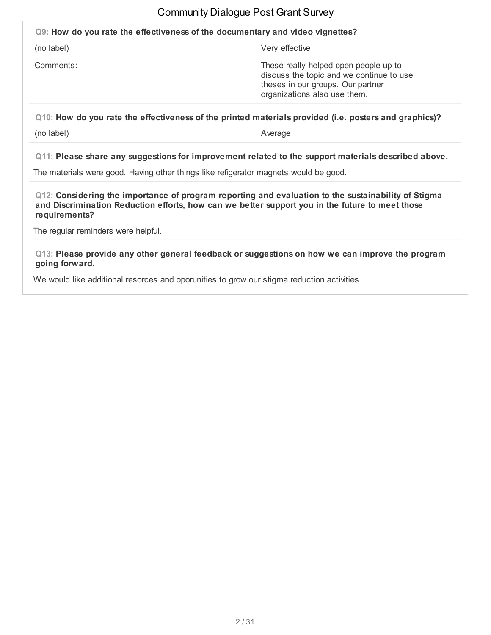#### **Q9: How do you rate the effectiveness of the documentary and video vignettes?**

(no label) Very effective

Comments: These really helped open people up to discuss the topic and we continue to use theses in our groups. Our partner organizations also use them.

**Q10: How do you rate the effectiveness of the printed materials provided (i.e. posters and graphics)?**

(no label) Average

**Q11: Please share any suggestions for improvement related to the support materials described above.**

The materials were good. Having other things like refigerator magnets would be good.

**Q12: Considering the importance of program reporting and evaluation to the sustainability of Stigma and Discrimination Reduction efforts, how can we better support you in the future to meet those requirements?**

The regular reminders were helpful.

**Q13: Please provide any other general feedback or suggestions on how we can improve the program going forward.**

We would like additional resorces and oporunities to grow our stigma reduction activities.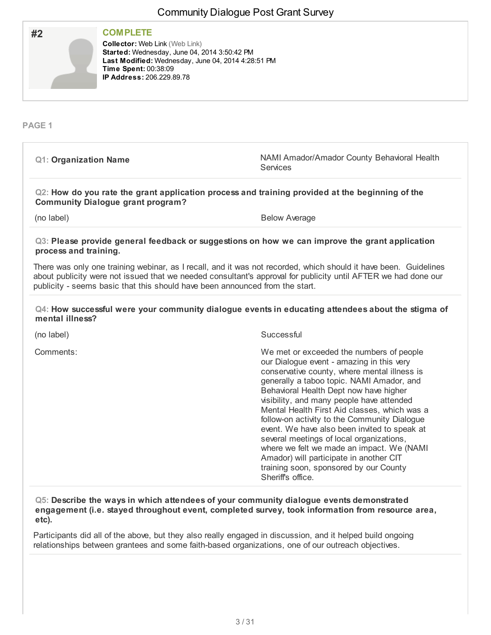| #2                           | <b>COMPLETE</b><br><b>Collector: Web Link (Web Link)</b><br>Started: Wednesday, June 04, 2014 3:50:42 PM<br>Last Modified: Wednesday, June 04, 2014 4:28:51 PM<br>Time Spent: 00:38:09<br><b>IP Address: 206.229.89.78</b> |                                                                                                                                                                                                                                                                                                                                                                                                                                                                                                                                                               |
|------------------------------|----------------------------------------------------------------------------------------------------------------------------------------------------------------------------------------------------------------------------|---------------------------------------------------------------------------------------------------------------------------------------------------------------------------------------------------------------------------------------------------------------------------------------------------------------------------------------------------------------------------------------------------------------------------------------------------------------------------------------------------------------------------------------------------------------|
| PAGE <sub>1</sub>            |                                                                                                                                                                                                                            |                                                                                                                                                                                                                                                                                                                                                                                                                                                                                                                                                               |
| <b>Q1: Organization Name</b> |                                                                                                                                                                                                                            | NAMI Amador/Amador County Behavioral Health<br>Services                                                                                                                                                                                                                                                                                                                                                                                                                                                                                                       |
|                              | <b>Community Dialogue grant program?</b>                                                                                                                                                                                   | Q2: How do you rate the grant application process and training provided at the beginning of the                                                                                                                                                                                                                                                                                                                                                                                                                                                               |
| (no label)                   |                                                                                                                                                                                                                            | <b>Below Average</b>                                                                                                                                                                                                                                                                                                                                                                                                                                                                                                                                          |
| process and training.        |                                                                                                                                                                                                                            | Q3: Please provide general feedback or suggestions on how we can improve the grant application<br>There was only one training webinar, as I recall, and it was not recorded, which should it have been. Guidelines                                                                                                                                                                                                                                                                                                                                            |
|                              |                                                                                                                                                                                                                            | about publicity were not issued that we needed consultant's approval for publicity until AFTER we had done our<br>publicity - seems basic that this should have been announced from the start.                                                                                                                                                                                                                                                                                                                                                                |
| mental illness?              |                                                                                                                                                                                                                            | Q4: How successful were your community dialogue events in educating attendees about the stigma of                                                                                                                                                                                                                                                                                                                                                                                                                                                             |
| (no label)                   |                                                                                                                                                                                                                            | Successful                                                                                                                                                                                                                                                                                                                                                                                                                                                                                                                                                    |
| Comments:                    |                                                                                                                                                                                                                            | We met or exceeded the numbers of people<br>our Dialogue event - amazing in this very<br>conservative county, where mental illness is<br>generally a taboo topic. NAMI Amador, and<br>Behavioral Health Dept now have higher<br>visibility, and many people have attended<br>Mental Health First Aid classes, which was a<br>follow-on activity to the Community Dialogue<br>event. We have also been invited to speak at<br>several meetings of local organizations,<br>where we felt we made an impact. We (NAMI<br>Amador) will participate in another CIT |

**Q5: Describe the ways in which attendees of your community dialogue events demonstrated engagement (i.e. stayed throughout event, completed survey, took information from resource area, etc).**

training soon, sponsored by our County

Sheriff's office.

Participants did all of the above, but they also really engaged in discussion, and it helped build ongoing relationships between grantees and some faith-based organizations, one of our outreach objectives.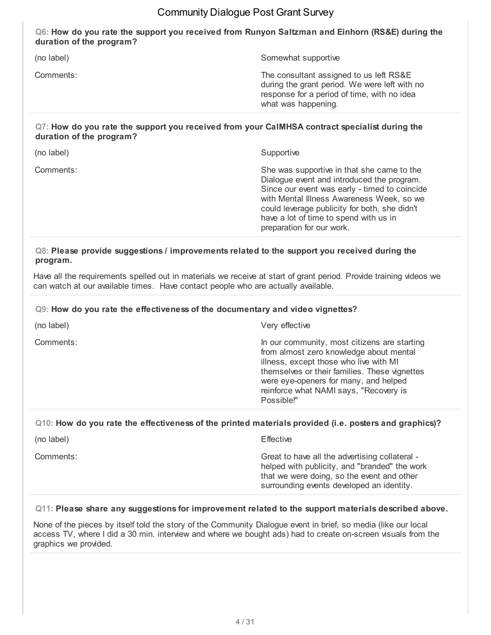**Q6: How do you rate the support you received from Runyon Saltzman and Einhorn (RS&E) during the duration of the program?**

| (no label) | Somewhat supportive                                                                                                                                            |
|------------|----------------------------------------------------------------------------------------------------------------------------------------------------------------|
| Comments:  | The consultant assigned to us left RS&E<br>during the grant period. We were left with no<br>response for a period of time, with no idea<br>what was happening. |
|            |                                                                                                                                                                |

#### **Q7: How do you rate the support you received from your CalMHSA contract specialist during the duration of the program?**

| She was supportive in that she came to the<br>Comments:<br>Dialogue event and introduced the program.<br>Since our event was early - timed to coincide<br>with Mental Illness Awareness Week, so we<br>could leverage publicity for both, she didn't<br>have a lot of time to spend with us in<br>preparation for our work. | (no label) | Supportive |
|-----------------------------------------------------------------------------------------------------------------------------------------------------------------------------------------------------------------------------------------------------------------------------------------------------------------------------|------------|------------|
|                                                                                                                                                                                                                                                                                                                             |            |            |

#### **Q8: Please provide suggestions / improvements related to the support you received during the program.**

Have all the requirements spelled out in materials we receive at start of grant period. Provide training videos we can watch at our available times. Have contact people who are actually available.

#### **Q9: How do you rate the effectiveness of the documentary and video vignettes?**

| (no label) | Very effective                                                                                                                                                                                                                                                                      |
|------------|-------------------------------------------------------------------------------------------------------------------------------------------------------------------------------------------------------------------------------------------------------------------------------------|
| Comments:  | In our community, most citizens are starting<br>from almost zero knowledge about mental<br>illness, except those who live with MI<br>themselves or their families. These vignettes<br>were eye-openers for many, and helped<br>reinforce what NAMI says, "Recovery is<br>Possible!" |
|            |                                                                                                                                                                                                                                                                                     |

#### **Q10: How do you rate the effectiveness of the printed materials provided (i.e. posters and graphics)?**

| (no label) | Effective                                                                                                                                                                                  |
|------------|--------------------------------------------------------------------------------------------------------------------------------------------------------------------------------------------|
| Comments:  | Great to have all the advertising collateral -<br>helped with publicity, and "branded" the work<br>that we were doing, so the event and other<br>surrounding events developed an identity. |

#### **Q11: Please share any suggestions for improvement related to the support materials described above.**

None of the pieces by itself told the story of the Community Dialogue event in brief, so media (like our local access TV, where I did a 30 min. interview and where we bought ads) had to create on-screen visuals from the graphics we provided.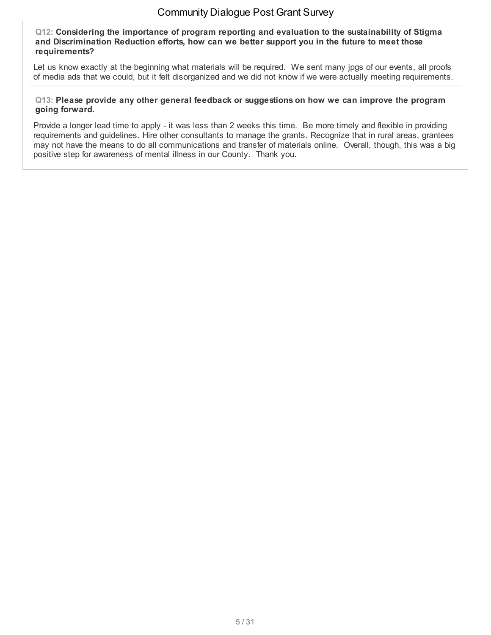**Q12: Considering the importance of program reporting and evaluation to the sustainability of Stigma and Discrimination Reduction efforts, how can we better support you in the future to meet those requirements?**

Let us know exactly at the beginning what materials will be required. We sent many jpgs of our events, all proofs of media ads that we could, but it felt disorganized and we did not know if we were actually meeting requirements.

#### **Q13: Please provide any other general feedback or suggestions on how we can improve the program going forward.**

Provide a longer lead time to apply - it was less than 2 weeks this time. Be more timely and flexible in providing requirements and guidelines. Hire other consultants to manage the grants. Recognize that in rural areas, grantees may not have the means to do all communications and transfer of materials online. Overall, though, this was a big positive step for awareness of mental illness in our County. Thank you.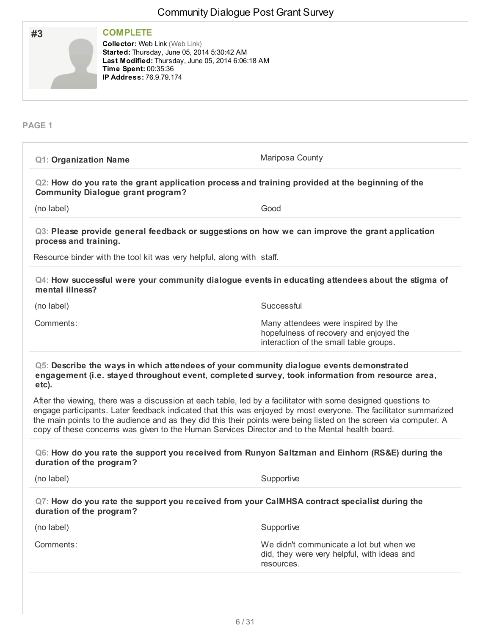|                                                                                                                                       |                                                                                                                                                                   | <b>Community Dialogue Post Grant Survey</b>                                                                                                                                                                                                                                                                                                            |
|---------------------------------------------------------------------------------------------------------------------------------------|-------------------------------------------------------------------------------------------------------------------------------------------------------------------|--------------------------------------------------------------------------------------------------------------------------------------------------------------------------------------------------------------------------------------------------------------------------------------------------------------------------------------------------------|
| #3                                                                                                                                    | <b>COMPLETE</b><br><b>Collector: Web Link (Web Link)</b><br>Started: Thursday, June 05, 2014 5:30:42 AM<br>Time Spent: 00:35:36<br><b>IP Address: 76.9.79.174</b> | Last Modified: Thursday, June 05, 2014 6:06:18 AM                                                                                                                                                                                                                                                                                                      |
| <b>PAGE 1</b>                                                                                                                         |                                                                                                                                                                   |                                                                                                                                                                                                                                                                                                                                                        |
| <b>Q1: Organization Name</b>                                                                                                          |                                                                                                                                                                   | Mariposa County                                                                                                                                                                                                                                                                                                                                        |
|                                                                                                                                       | <b>Community Dialogue grant program?</b>                                                                                                                          | Q2: How do you rate the grant application process and training provided at the beginning of the                                                                                                                                                                                                                                                        |
| Good<br>(no label)                                                                                                                    |                                                                                                                                                                   |                                                                                                                                                                                                                                                                                                                                                        |
| process and training.                                                                                                                 |                                                                                                                                                                   | Q3: Please provide general feedback or suggestions on how we can improve the grant application                                                                                                                                                                                                                                                         |
|                                                                                                                                       | Resource binder with the tool kit was very helpful, along with staff.                                                                                             |                                                                                                                                                                                                                                                                                                                                                        |
| mental illness?                                                                                                                       |                                                                                                                                                                   | Q4: How successful were your community dialogue events in educating attendees about the stigma of                                                                                                                                                                                                                                                      |
| (no label)                                                                                                                            |                                                                                                                                                                   | Successful                                                                                                                                                                                                                                                                                                                                             |
| Comments:<br>Many attendees were inspired by the<br>hopefulness of recovery and enjoyed the<br>interaction of the small table groups. |                                                                                                                                                                   |                                                                                                                                                                                                                                                                                                                                                        |
| etc).                                                                                                                                 |                                                                                                                                                                   | Q5: Describe the ways in which attendees of your community dialogue events demonstrated<br>engagement (i.e. stayed throughout event, completed survey, took information from resource area,                                                                                                                                                            |
|                                                                                                                                       |                                                                                                                                                                   | After the viewing, there was a discussion at each table, led by a facilitator with some designed questions to<br>engage participants. Later feedback indicated that this was enjoyed by most everyone. The facilitator summarized<br>the main points to the audience and as they did this their points were being listed on the screen via computer. A |

#### **Q6: How do you rate the support you received from Runyon Saltzman and Einhorn (RS&E) during the duration of the program?**

copy of these concerns was given to the Human Services Director and to the Mental health board.

(no label) Supportive

| Q7: How do you rate the support you received from your CaIMHSA contract specialist during the |  |  |  |
|-----------------------------------------------------------------------------------------------|--|--|--|
| duration of the program?                                                                      |  |  |  |

(no label) Supportive

Comments: We didn't communicate a lot but when we did, they were very helpful, with ideas and resources.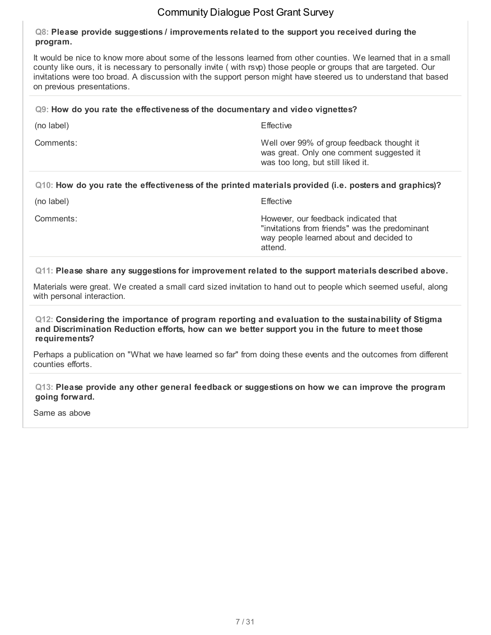#### **Q8: Please provide suggestions / improvements related to the support you received during the program.**

It would be nice to know more about some of the lessons learned from other counties. We learned that in a small county like ours, it is necessary to personally invite ( with rsvp) those people or groups that are targeted. Our invitations were too broad. A discussion with the support person might have steered us to understand that based on previous presentations.

#### **Q9: How do you rate the effectiveness of the documentary and video vignettes?**

| (no label) | Effective                                                                                                                   |
|------------|-----------------------------------------------------------------------------------------------------------------------------|
| Comments:  | Well over 99% of group feedback thought it<br>was great. Only one comment suggested it<br>was too long, but still liked it. |

#### **Q10: How do you rate the effectiveness of the printed materials provided (i.e. posters and graphics)?**

(no label) Effective

Comments: However, our feedback indicated that "invitations from friends" was the predominant way people learned about and decided to attend.

**Q11: Please share any suggestions for improvement related to the support materials described above.**

Materials were great. We created a small card sized invitation to hand out to people which seemed useful, along with personal interaction.

#### **Q12: Considering the importance of program reporting and evaluation to the sustainability of Stigma and Discrimination Reduction efforts, how can we better support you in the future to meet those requirements?**

Perhaps a publication on "What we have learned so far" from doing these events and the outcomes from different counties efforts.

**Q13: Please provide any other general feedback or suggestions on how we can improve the program going forward.**

Same as above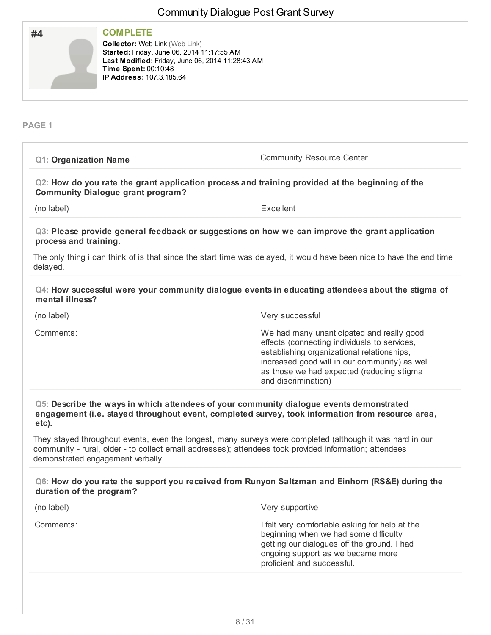| <b>COMPLETE</b>                                                                                                                                                                                    |
|----------------------------------------------------------------------------------------------------------------------------------------------------------------------------------------------------|
| <b>Collector: Web Link (Web Link)</b><br>Started: Friday, June 06, 2014 11:17:55 AM<br>Last Modified: Friday, June 06, 2014 11:28:43 AM<br>Time Spent: 00:10:48<br><b>IP Address: 107.3.185.64</b> |
|                                                                                                                                                                                                    |

#### **PAGE 1**

| <b>Q1: Organization Name</b>                                                                                                                                                                                                                            | <b>Community Resource Center</b>                                                                                                                                                                                                                             |  |  |
|---------------------------------------------------------------------------------------------------------------------------------------------------------------------------------------------------------------------------------------------------------|--------------------------------------------------------------------------------------------------------------------------------------------------------------------------------------------------------------------------------------------------------------|--|--|
| Q2: How do you rate the grant application process and training provided at the beginning of the<br><b>Community Dialogue grant program?</b>                                                                                                             |                                                                                                                                                                                                                                                              |  |  |
| (no label)                                                                                                                                                                                                                                              | Excellent                                                                                                                                                                                                                                                    |  |  |
| Q3: Please provide general feedback or suggestions on how we can improve the grant application<br>process and training.                                                                                                                                 |                                                                                                                                                                                                                                                              |  |  |
| The only thing i can think of is that since the start time was delayed, it would have been nice to have the end time<br>delayed.                                                                                                                        |                                                                                                                                                                                                                                                              |  |  |
| Q4: How successful were your community dialogue events in educating attendees about the stigma of<br>mental illness?                                                                                                                                    |                                                                                                                                                                                                                                                              |  |  |
| (no label)                                                                                                                                                                                                                                              | Very successful                                                                                                                                                                                                                                              |  |  |
| Comments:                                                                                                                                                                                                                                               | We had many unanticipated and really good<br>effects (connecting individuals to services,<br>establishing organizational relationships,<br>increased good will in our community) as well<br>as those we had expected (reducing stigma<br>and discrimination) |  |  |
| Q5: Describe the ways in which attendees of your community dialogue events demonstrated<br>engagement (i.e. stayed throughout event, completed survey, took information from resource area,<br>etc).                                                    |                                                                                                                                                                                                                                                              |  |  |
| They stayed throughout events, even the longest, many surveys were completed (although it was hard in our<br>community - rural, older - to collect email addresses); attendees took provided information; attendees<br>demonstrated engagement verbally |                                                                                                                                                                                                                                                              |  |  |
| Q6: How do you rate the support you received from Runyon Saltzman and Einhorn (RS&E) during the<br>duration of the program?                                                                                                                             |                                                                                                                                                                                                                                                              |  |  |
| (no label)                                                                                                                                                                                                                                              | Very supportive                                                                                                                                                                                                                                              |  |  |
| Comments:                                                                                                                                                                                                                                               | I felt very comfortable asking for help at the<br>beginning when we had some difficulty<br>getting our dialogues off the ground. I had<br>ongoing support as we became more<br>proficient and successful.                                                    |  |  |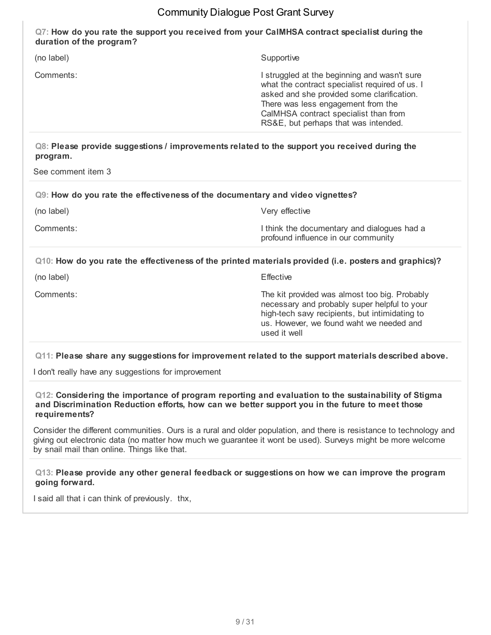#### **Q7: How do you rate the support you received from your CalMHSA contract specialist during the duration of the program?**

| (no label)                                                                                                                     | Supportive                                                                                                                                                                                                                                                          |
|--------------------------------------------------------------------------------------------------------------------------------|---------------------------------------------------------------------------------------------------------------------------------------------------------------------------------------------------------------------------------------------------------------------|
| Comments:                                                                                                                      | I struggled at the beginning and wasn't sure<br>what the contract specialist required of us. I<br>asked and she provided some clarification.<br>There was less engagement from the<br>CalMHSA contract specialist than from<br>RS&E, but perhaps that was intended. |
| Q8: Please provide suggestions / improvements related to the support you received during the<br>program.<br>See comment item 3 |                                                                                                                                                                                                                                                                     |
| Q9: How do you rate the effectiveness of the documentary and video vignettes?                                                  |                                                                                                                                                                                                                                                                     |
| (no label)                                                                                                                     | Very effective                                                                                                                                                                                                                                                      |
| Comments:                                                                                                                      | I think the documentary and dialogues had a<br>profound influence in our community                                                                                                                                                                                  |
| Q10: How do you rate the effectiveness of the printed materials provided (i.e. posters and graphics)?                          |                                                                                                                                                                                                                                                                     |

(no label) Effective

Comments: The kit provided was almost too big. Probably necessary and probably super helpful to your high-tech savy recipients, but intimidating to us. However, we found waht we needed and used it well

#### **Q11: Please share any suggestions for improvement related to the support materials described above.**

I don't really have any suggestions for improvement

**Q12: Considering the importance of program reporting and evaluation to the sustainability of Stigma and Discrimination Reduction efforts, how can we better support you in the future to meet those requirements?**

Consider the different communities. Ours is a rural and older population, and there is resistance to technology and giving out electronic data (no matter how much we guarantee it wont be used). Surveys might be more welcome by snail mail than online. Things like that.

#### **Q13: Please provide any other general feedback or suggestions on how we can improve the program going forward.**

I said all that i can think of previously. thx,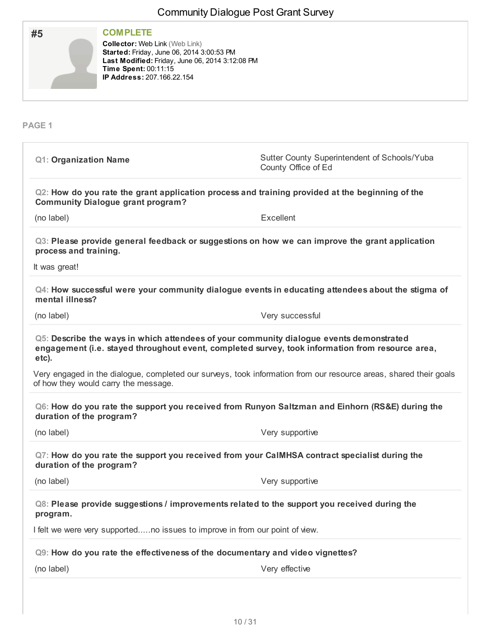| #5                                     | <b>COMPLETE</b><br><b>Collector: Web Link (Web Link)</b><br>Started: Friday, June 06, 2014 3:00:53 PM<br>Last Modified: Friday, June 06, 2014 3:12:08 PM<br>Time Spent: 00:11:15<br>IP Address: 207.166.22.154 |                                                                                                                                                                                             |
|----------------------------------------|----------------------------------------------------------------------------------------------------------------------------------------------------------------------------------------------------------------|---------------------------------------------------------------------------------------------------------------------------------------------------------------------------------------------|
| PAGE <sub>1</sub>                      |                                                                                                                                                                                                                |                                                                                                                                                                                             |
| <b>Q1: Organization Name</b>           |                                                                                                                                                                                                                | Sutter County Superintendent of Schools/Yuba<br>County Office of Ed                                                                                                                         |
|                                        | <b>Community Dialogue grant program?</b>                                                                                                                                                                       | Q2: How do you rate the grant application process and training provided at the beginning of the                                                                                             |
| (no label)                             |                                                                                                                                                                                                                | Excellent                                                                                                                                                                                   |
| process and training.<br>It was great! |                                                                                                                                                                                                                | Q3: Please provide general feedback or suggestions on how we can improve the grant application                                                                                              |
| mental illness?                        |                                                                                                                                                                                                                | Q4: How successful were your community dialogue events in educating attendees about the stigma of                                                                                           |
| (no label)                             |                                                                                                                                                                                                                | Very successful                                                                                                                                                                             |
| etc).                                  |                                                                                                                                                                                                                | Q5: Describe the ways in which attendees of your community dialogue events demonstrated<br>engagement (i.e. stayed throughout event, completed survey, took information from resource area, |
|                                        | of how they would carry the message.                                                                                                                                                                           | Very engaged in the dialogue, completed our surveys, took information from our resource areas, shared their goals                                                                           |
| duration of the program?               |                                                                                                                                                                                                                | Q6: How do you rate the support you received from Runyon Saltzman and Einhorn (RS&E) during the                                                                                             |
| (no label)                             |                                                                                                                                                                                                                | Very supportive                                                                                                                                                                             |
| duration of the program?               |                                                                                                                                                                                                                | Q7: How do you rate the support you received from your CaIMHSA contract specialist during the                                                                                               |
| (no label)                             |                                                                                                                                                                                                                | Very supportive                                                                                                                                                                             |
| program.                               |                                                                                                                                                                                                                | Q8: Please provide suggestions / improvements related to the support you received during the                                                                                                |
|                                        | I felt we were very supportedno issues to improve in from our point of view.                                                                                                                                   |                                                                                                                                                                                             |
|                                        |                                                                                                                                                                                                                | Q9: How do you rate the effectiveness of the documentary and video vignettes?                                                                                                               |
|                                        |                                                                                                                                                                                                                |                                                                                                                                                                                             |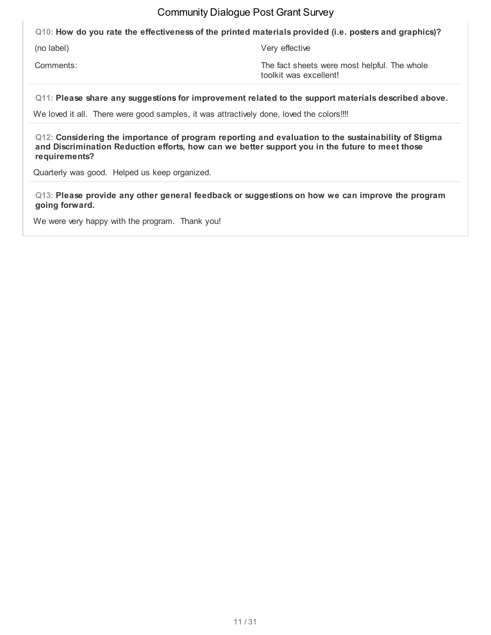**Q10: How do you rate the effectiveness of the printed materials provided (i.e. posters and graphics)?**

(no label) Very effective

Comments: Comments: Comments: The fact sheets were most helpful. The whole toolkit was excellent!

**Q11: Please share any suggestions for improvement related to the support materials described above.**

We loved it all. There were good samples, it was attractively done, loved the colors!!!!

**Q12: Considering the importance of program reporting and evaluation to the sustainability of Stigma and Discrimination Reduction efforts, how can we better support you in the future to meet those requirements?**

Quarterly was good. Helped us keep organized.

**Q13: Please provide any other general feedback or suggestions on how we can improve the program going forward.**

We were very happy with the program. Thank you!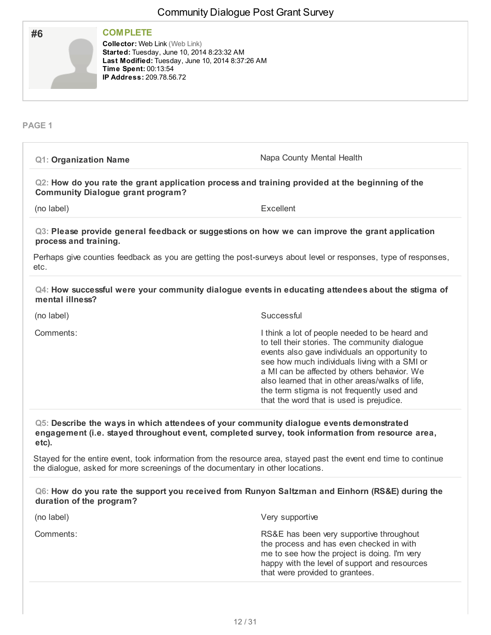| #6                           | <b>COMPLETE</b><br><b>Collector: Web Link (Web Link)</b><br>Started: Tuesday, June 10, 2014 8:23:32 AM<br>Last Modified: Tuesday, June 10, 2014 8:37:26 AM<br>Time Spent: 00:13:54<br>IP Address: 209.78.56.72 |                                                                                                                                                                                                                                                                                                                                                                                                |
|------------------------------|----------------------------------------------------------------------------------------------------------------------------------------------------------------------------------------------------------------|------------------------------------------------------------------------------------------------------------------------------------------------------------------------------------------------------------------------------------------------------------------------------------------------------------------------------------------------------------------------------------------------|
| PAGE <sub>1</sub>            |                                                                                                                                                                                                                |                                                                                                                                                                                                                                                                                                                                                                                                |
| <b>Q1: Organization Name</b> |                                                                                                                                                                                                                | Napa County Mental Health                                                                                                                                                                                                                                                                                                                                                                      |
|                              | <b>Community Dialogue grant program?</b>                                                                                                                                                                       | Q2: How do you rate the grant application process and training provided at the beginning of the                                                                                                                                                                                                                                                                                                |
| (no label)                   |                                                                                                                                                                                                                | Excellent                                                                                                                                                                                                                                                                                                                                                                                      |
| process and training.        |                                                                                                                                                                                                                | Q3: Please provide general feedback or suggestions on how we can improve the grant application                                                                                                                                                                                                                                                                                                 |
| etc.                         |                                                                                                                                                                                                                | Perhaps give counties feedback as you are getting the post-surveys about level or responses, type of responses,                                                                                                                                                                                                                                                                                |
| mental illness?              |                                                                                                                                                                                                                | Q4: How successful were your community dialogue events in educating attendees about the stigma of                                                                                                                                                                                                                                                                                              |
| (no label)                   |                                                                                                                                                                                                                | Successful                                                                                                                                                                                                                                                                                                                                                                                     |
| Comments:                    |                                                                                                                                                                                                                | I think a lot of people needed to be heard and<br>to tell their stories. The community dialogue<br>events also gave individuals an opportunity to<br>see how much individuals living with a SMI or<br>a MI can be affected by others behavior. We<br>also learned that in other areas/walks of life,<br>the term stigma is not frequently used and<br>that the word that is used is prejudice. |
| etc).                        |                                                                                                                                                                                                                | Q5: Describe the ways in which attendees of your community dialogue events demonstrated<br>engagement (i.e. stayed throughout event, completed survey, took information from resource area,                                                                                                                                                                                                    |
|                              |                                                                                                                                                                                                                | Stayed for the entire event, took information from the resource area, stayed past the event end time to continue<br>the dialogue, asked for more screenings of the documentary in other locations.                                                                                                                                                                                             |
|                              | duration of the program?                                                                                                                                                                                       | Q6: How do you rate the support you received from Runyon Saltzman and Einhorn (RS&E) during the                                                                                                                                                                                                                                                                                                |
| (no label)                   |                                                                                                                                                                                                                | Very supportive                                                                                                                                                                                                                                                                                                                                                                                |
| Comments:                    |                                                                                                                                                                                                                | RS&E has been very supportive throughout<br>the process and has even checked in with<br>me to see how the project is doing. I'm very<br>happy with the level of support and resources                                                                                                                                                                                                          |

that were provided to grantees.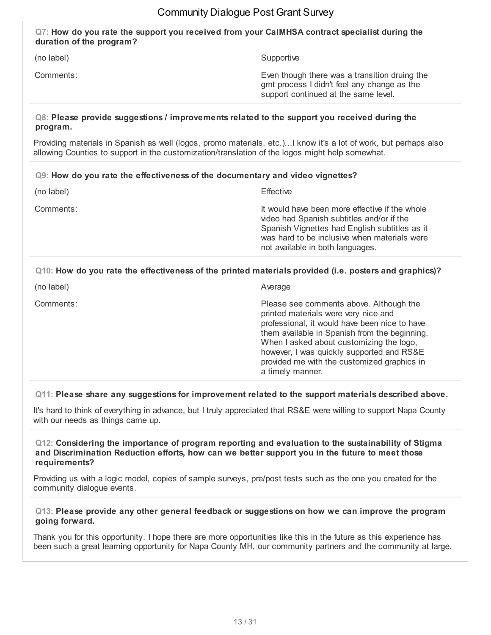#### **Q7: How do you rate the support you received from your CalMHSA contract specialist during the duration of the program?**

(no label) Supportive

Comments: Even though there was a transition druing the grnt process I didn't feel any change as the support continued at the same level.

#### **Q8: Please provide suggestions / improvements related to the support you received during the program.**

Providing materials in Spanish as well (logos, promo materials, etc.)...I know it's a lot of work, but perhaps also allowing Counties to support in the customization/translation of the logos might help somewhat.

#### **Q9: How do you rate the effectiveness of the documentary and video vignettes?**

| (no label) | <b>Effective</b>                                                                                                                                                                                                                 |
|------------|----------------------------------------------------------------------------------------------------------------------------------------------------------------------------------------------------------------------------------|
| Comments:  | It would have been more effective if the whole<br>video had Spanish subtitles and/or if the<br>Spanish Vignettes had English subtitles as it<br>was hard to be inclusive when materials were<br>not available in both languages. |

## **Q10: How do you rate the effectiveness of the printed materials provided (i.e. posters and graphics)?**

| (no label) | Average                                                                                                                                                                                                                                                                                                                                       |
|------------|-----------------------------------------------------------------------------------------------------------------------------------------------------------------------------------------------------------------------------------------------------------------------------------------------------------------------------------------------|
| Comments:  | Please see comments above. Although the<br>printed materials were very nice and<br>professional, it would have been nice to have<br>them available in Spanish from the beginning.<br>When I asked about customizing the logo,<br>however, I was quickly supported and RS&E<br>provided me with the customized graphics in<br>a timely manner. |
|            |                                                                                                                                                                                                                                                                                                                                               |

#### **Q11: Please share any suggestions for improvement related to the support materials described above.**

It's hard to think of everything in advance, but I truly appreciated that RS&E were willing to support Napa County with our needs as things came up.

#### **Q12: Considering the importance of program reporting and evaluation to the sustainability of Stigma and Discrimination Reduction efforts, how can we better support you in the future to meet those requirements?**

Providing us with a logic model, copies of sample surveys, pre/post tests such as the one you created for the community dialogue events.

#### **Q13: Please provide any other general feedback or suggestions on how we can improve the program going forward.**

Thank you for this opportunity. I hope there are more opportunities like this in the future as this experience has been such a great learning opportunity for Napa County MH, our community partners and the community at large.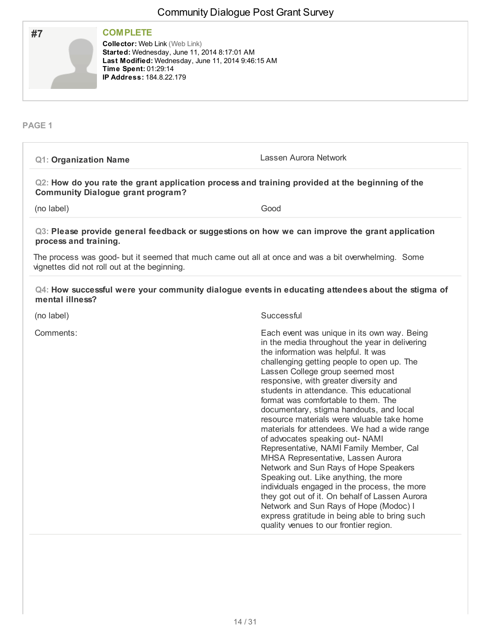| #7 | <b>COMPLETE</b><br><b>Collector: Web Link (Web Link)</b><br>Started: Wednesday, June 11, 2014 8:17:01 AM<br>Last Modified: Wednesday, June 11, 2014 9:46:15 AM<br>Time Spent: 01:29:14<br><b>IP Address: 184.8.22.179</b> |
|----|---------------------------------------------------------------------------------------------------------------------------------------------------------------------------------------------------------------------------|
|    |                                                                                                                                                                                                                           |

## **PAGE 1**

| <b>Q1: Organization Name</b>                                                                                                                        | Lassen Aurora Network                                                                                                                                                                                                                                                                                                                                                                                                                                                                                                                                                                                                                                                                                                                                                                                                                                                                                                                     |
|-----------------------------------------------------------------------------------------------------------------------------------------------------|-------------------------------------------------------------------------------------------------------------------------------------------------------------------------------------------------------------------------------------------------------------------------------------------------------------------------------------------------------------------------------------------------------------------------------------------------------------------------------------------------------------------------------------------------------------------------------------------------------------------------------------------------------------------------------------------------------------------------------------------------------------------------------------------------------------------------------------------------------------------------------------------------------------------------------------------|
| Q2: How do you rate the grant application process and training provided at the beginning of the<br><b>Community Dialogue grant program?</b>         |                                                                                                                                                                                                                                                                                                                                                                                                                                                                                                                                                                                                                                                                                                                                                                                                                                                                                                                                           |
| (no label)                                                                                                                                          | Good                                                                                                                                                                                                                                                                                                                                                                                                                                                                                                                                                                                                                                                                                                                                                                                                                                                                                                                                      |
| Q3: Please provide general feedback or suggestions on how we can improve the grant application<br>process and training.                             |                                                                                                                                                                                                                                                                                                                                                                                                                                                                                                                                                                                                                                                                                                                                                                                                                                                                                                                                           |
| The process was good- but it seemed that much came out all at once and was a bit overwhelming. Some<br>vignettes did not roll out at the beginning. |                                                                                                                                                                                                                                                                                                                                                                                                                                                                                                                                                                                                                                                                                                                                                                                                                                                                                                                                           |
| Q4: How successful were your community dialogue events in educating attendees about the stigma of<br>mental illness?                                |                                                                                                                                                                                                                                                                                                                                                                                                                                                                                                                                                                                                                                                                                                                                                                                                                                                                                                                                           |
| (no label)                                                                                                                                          | Successful                                                                                                                                                                                                                                                                                                                                                                                                                                                                                                                                                                                                                                                                                                                                                                                                                                                                                                                                |
| Comments:                                                                                                                                           | Each event was unique in its own way. Being<br>in the media throughout the year in delivering<br>the information was helpful. It was<br>challenging getting people to open up. The<br>Lassen College group seemed most<br>responsive, with greater diversity and<br>students in attendance. This educational<br>format was comfortable to them. The<br>documentary, stigma handouts, and local<br>resource materials were valuable take home<br>materials for attendees. We had a wide range<br>of advocates speaking out- NAMI<br>Representative, NAMI Family Member, Cal<br>MHSA Representative, Lassen Aurora<br>Network and Sun Rays of Hope Speakers<br>Speaking out. Like anything, the more<br>individuals engaged in the process, the more<br>they got out of it. On behalf of Lassen Aurora<br>Network and Sun Rays of Hope (Modoc) I<br>express gratitude in being able to bring such<br>quality venues to our frontier region. |
|                                                                                                                                                     |                                                                                                                                                                                                                                                                                                                                                                                                                                                                                                                                                                                                                                                                                                                                                                                                                                                                                                                                           |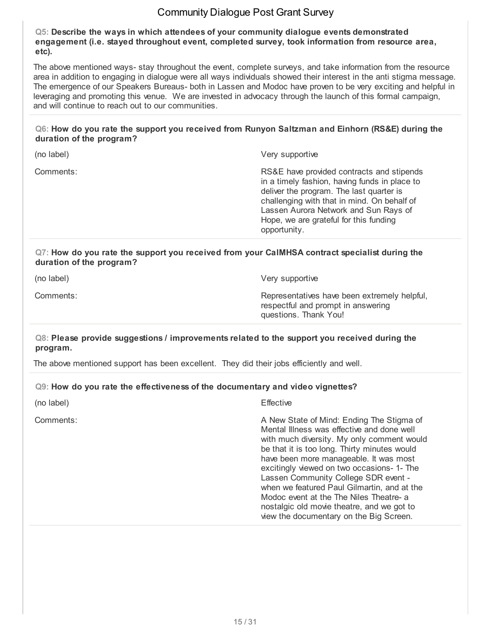**Q5: Describe the ways in which attendees of your community dialogue events demonstrated engagement (i.e. stayed throughout event, completed survey, took information from resource area, etc).**

The above mentioned ways- stay throughout the event, complete surveys, and take information from the resource area in addition to engaging in dialogue were all ways individuals showed their interest in the anti stigma message. The emergence of our Speakers Bureaus- both in Lassen and Modoc have proven to be very exciting and helpful in leveraging and promoting this venue. We are invested in advocacy through the launch of this formal campaign, and will continue to reach out to our communities.

#### **Q6: How do you rate the support you received from Runyon Saltzman and Einhorn (RS&E) during the duration of the program?**

(no label) Very supportive

Comments: RS&E have provided contracts and stipends in a timely fashion, having funds in place to deliver the program. The last quarter is challenging with that in mind. On behalf of Lassen Aurora Network and Sun Rays of Hope, we are grateful for this funding opportunity.

#### **Q7: How do you rate the support you received from your CalMHSA contract specialist during the duration of the program?**

(no label) Very supportive

Comments: Representatives have been extremely helpful, respectful and prompt in answering questions. Thank You!

#### **Q8: Please provide suggestions / improvements related to the support you received during the program.**

The above mentioned support has been excellent. They did their jobs efficiently and well.

#### **Q9: How do you rate the effectiveness of the documentary and video vignettes?**

| (no label) | Effective |
|------------|-----------|
|            |           |

Comments: A New State of Mind: Ending The Stigma of Mental Illness was effective and done well with much diversity. My only comment would be that it is too long. Thirty minutes would have been more manageable. It was most excitingly viewed on two occasions- 1- The Lassen Community College SDR event when we featured Paul Gilmartin, and at the Modoc event at the The Niles Theatre- a nostalgic old movie theatre, and we got to view the documentary on the Big Screen.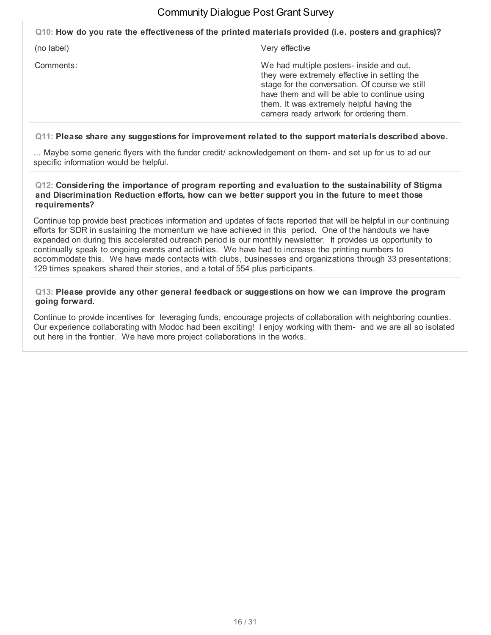**Q10: How do you rate the effectiveness of the printed materials provided (i.e. posters and graphics)?**

(no label) Very effective

Comments: We had multiple posters- inside and out. they were extremely effective in setting the stage for the conversation. Of course we still have them and will be able to continue using them. It was extremely helpful having the camera ready artwork for ordering them.

#### **Q11: Please share any suggestions for improvement related to the support materials described above.**

... Maybe some generic flyers with the funder credit/ acknowledgement on them- and set up for us to ad our specific information would be helpful.

#### **Q12: Considering the importance of program reporting and evaluation to the sustainability of Stigma and Discrimination Reduction efforts, how can we better support you in the future to meet those requirements?**

Continue top provide best practices information and updates of facts reported that will be helpful in our continuing efforts for SDR in sustaining the momentum we have achieved in this period. One of the handouts we have expanded on during this accelerated outreach period is our monthly newsletter. It provides us opportunity to continually speak to ongoing events and activities. We have had to increase the printing numbers to accommodate this. We have made contacts with clubs, businesses and organizations through 33 presentations; 129 times speakers shared their stories, and a total of 554 plus participants.

#### **Q13: Please provide any other general feedback or suggestions on how we can improve the program going forward.**

Continue to provide incentives for leveraging funds, encourage projects of collaboration with neighboring counties. Our experience collaborating with Modoc had been exciting! I enjoy working with them- and we are all so isolated out here in the frontier. We have more project collaborations in the works.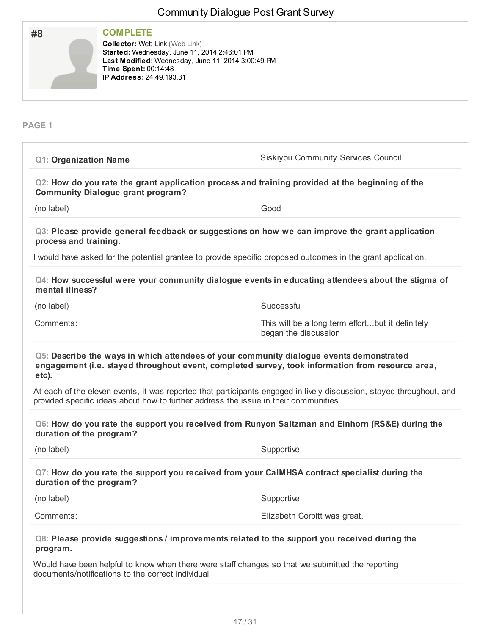|                                                                                                                                                                           | Community Dialogue Fost Grant Survey                                                                                                                                                                         |
|---------------------------------------------------------------------------------------------------------------------------------------------------------------------------|--------------------------------------------------------------------------------------------------------------------------------------------------------------------------------------------------------------|
| <b>COMPLETE</b><br>#8<br><b>Collector: Web Link (Web Link)</b><br>Started: Wednesday, June 11, 2014 2:46:01 PM<br>Time Spent: 00:14:48<br><b>IP Address: 24.49.193.31</b> | Last Modified: Wednesday, June 11, 2014 3:00:49 PM                                                                                                                                                           |
| <b>PAGE 1</b>                                                                                                                                                             |                                                                                                                                                                                                              |
| <b>Q1: Organization Name</b>                                                                                                                                              | Siskiyou Community Services Council                                                                                                                                                                          |
| <b>Community Dialogue grant program?</b>                                                                                                                                  | Q2: How do you rate the grant application process and training provided at the beginning of the                                                                                                              |
| (no label)                                                                                                                                                                | Good                                                                                                                                                                                                         |
| process and training.                                                                                                                                                     | Q3: Please provide general feedback or suggestions on how we can improve the grant application                                                                                                               |
|                                                                                                                                                                           | I would have asked for the potential grantee to provide specific proposed outcomes in the grant application.                                                                                                 |
| mental illness?                                                                                                                                                           | Q4: How successful were your community dialogue events in educating attendees about the stigma of                                                                                                            |
| (no label)                                                                                                                                                                | Successful                                                                                                                                                                                                   |
| Comments:                                                                                                                                                                 | This will be a long term effortbut it definitely<br>began the discussion                                                                                                                                     |
| etc).                                                                                                                                                                     | Q5: Describe the ways in which attendees of your community dialogue events demonstrated<br>engagement (i.e. stayed throughout event, completed survey, took information from resource area,                  |
|                                                                                                                                                                           | At each of the eleven events, it was reported that participants engaged in lively discussion, stayed throughout, and<br>provided specific ideas about how to further address the issue in their communities. |
| duration of the program?                                                                                                                                                  | Q6: How do you rate the support you received from Runyon Saltzman and Einhorn (RS&E) during the                                                                                                              |
| (no label)                                                                                                                                                                | Supportive                                                                                                                                                                                                   |
| duration of the program?                                                                                                                                                  | Q7: How do you rate the support you received from your CaIMHSA contract specialist during the                                                                                                                |
| (no label)                                                                                                                                                                | Supportive                                                                                                                                                                                                   |
| Comments:                                                                                                                                                                 | Elizabeth Corbitt was great.                                                                                                                                                                                 |
| program.                                                                                                                                                                  | Q8: Please provide suggestions / improvements related to the support you received during the                                                                                                                 |
| documents/notifications to the correct individual                                                                                                                         | Would have been helpful to know when there were staff changes so that we submitted the reporting                                                                                                             |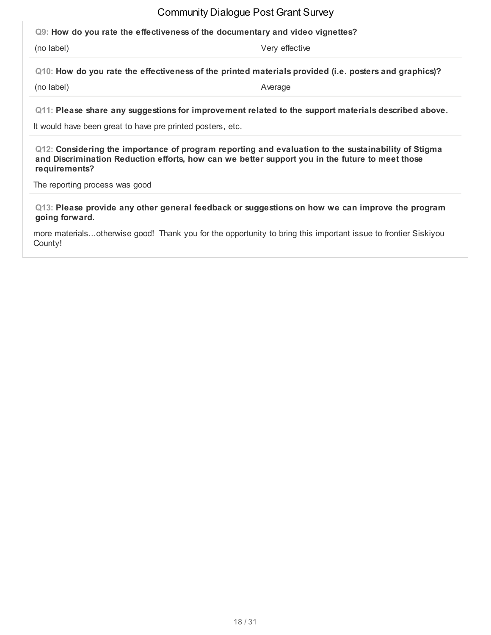**Q9: How do you rate the effectiveness of the documentary and video vignettes?**

(no label) Very effective

**Q10: How do you rate the effectiveness of the printed materials provided (i.e. posters and graphics)?**

(no label) and a set of the set of the set of the set of the set of the set of the set of the set of the set of the set of the set of the set of the set of the set of the set of the set of the set of the set of the set of

**Q11: Please share any suggestions for improvement related to the support materials described above.**

It would have been great to have pre printed posters, etc.

**Q12: Considering the importance of program reporting and evaluation to the sustainability of Stigma and Discrimination Reduction efforts, how can we better support you in the future to meet those requirements?**

The reporting process was good

**Q13: Please provide any other general feedback or suggestions on how we can improve the program going forward.**

more materials...otherwise good! Thank you for the opportunity to bring this important issue to frontier Siskiyou County!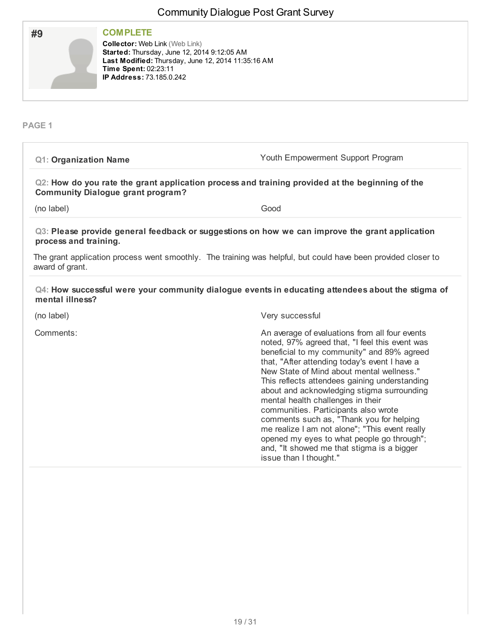| #9 | <b>COMPLETE</b>                                                                                                                                                                                       |
|----|-------------------------------------------------------------------------------------------------------------------------------------------------------------------------------------------------------|
|    | <b>Collector: Web Link (Web Link)</b><br>Started: Thursday, June 12, 2014 9:12:05 AM<br>Last Modified: Thursday, June 12, 2014 11:35:16 AM<br>Time Spent: 02:23:11<br><b>IP Address: 73.185.0.242</b> |
|    |                                                                                                                                                                                                       |

#### **PAGE 1**

| <b>Q1: Organization Name</b>             | Youth Empowerment Support Program                                                                                                                                                                                                                                                                                                                                                                                                                                                                                                                                    |
|------------------------------------------|----------------------------------------------------------------------------------------------------------------------------------------------------------------------------------------------------------------------------------------------------------------------------------------------------------------------------------------------------------------------------------------------------------------------------------------------------------------------------------------------------------------------------------------------------------------------|
| <b>Community Dialogue grant program?</b> | Q2: How do you rate the grant application process and training provided at the beginning of the                                                                                                                                                                                                                                                                                                                                                                                                                                                                      |
| (no label)                               | Good                                                                                                                                                                                                                                                                                                                                                                                                                                                                                                                                                                 |
| process and training.                    | Q3: Please provide general feedback or suggestions on how we can improve the grant application                                                                                                                                                                                                                                                                                                                                                                                                                                                                       |
| award of grant.                          | The grant application process went smoothly. The training was helpful, but could have been provided closer to                                                                                                                                                                                                                                                                                                                                                                                                                                                        |
| mental illness?                          | Q4: How successful were your community dialogue events in educating attendees about the stigma of                                                                                                                                                                                                                                                                                                                                                                                                                                                                    |
| (no label)                               | Very successful                                                                                                                                                                                                                                                                                                                                                                                                                                                                                                                                                      |
| Comments:                                | An average of evaluations from all four events<br>noted, 97% agreed that, "I feel this event was<br>beneficial to my community" and 89% agreed<br>that, "After attending today's event I have a<br>New State of Mind about mental wellness."<br>This reflects attendees gaining understanding<br>about and acknowledging stigma surrounding<br>mental health challenges in their<br>communities. Participants also wrote<br>comments such as, "Thank you for helping<br>me realize I am not alone"; "This event really<br>opened my eyes to what people go through"; |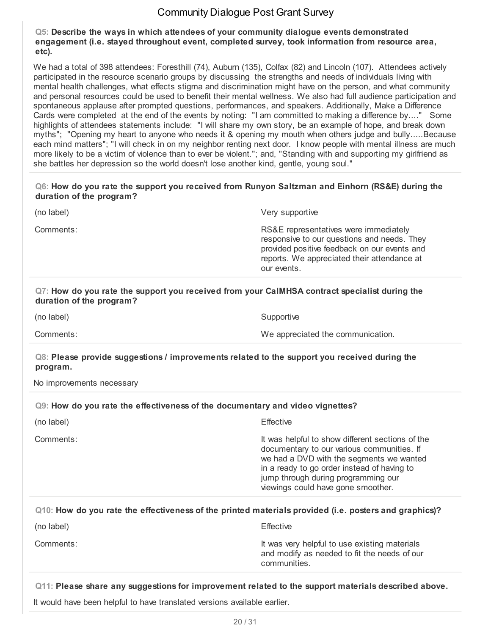**Q5: Describe the ways in which attendees of your community dialogue events demonstrated engagement (i.e. stayed throughout event, completed survey, took information from resource area, etc).**

We had a total of 398 attendees: Foresthill (74), Auburn (135), Colfax (82) and Lincoln (107). Attendees actively participated in the resource scenario groups by discussing the strengths and needs of individuals living with mental health challenges, what effects stigma and discrimination might have on the person, and what community and personal resources could be used to benefit their mental wellness. We also had full audience participation and spontaneous applause after prompted questions, performances, and speakers. Additionally, Make a Difference Cards were completed at the end of the events by noting: "I am committed to making a difference by...." Some highlights of attendees statements include: "I will share my own story, be an example of hope, and break down myths"; "Opening my heart to anyone who needs it & opening my mouth when others judge and bully.....Because each mind matters"; "I will check in on my neighbor renting next door. I know people with mental illness are much more likely to be a victim of violence than to ever be violent."; and, "Standing with and supporting my girlfriend as she battles her depression so the world doesn't lose another kind, gentle, young soul."

#### **Q6: How do you rate the support you received from Runyon Saltzman and Einhorn (RS&E) during the duration of the program?**

Very supportive

Comments: RS&E representatives were immediately responsive to our questions and needs. They provided positive feedback on our events and reports. We appreciated their attendance at our events.

### **Q7: How do you rate the support you received from your CalMHSA contract specialist during the duration of the program?**

(no label) Supportive Contract Contract Contract Contract Contract Contract Contract Contract Contract Contract Contract Contract Contract Contract Contract Contract Contract Contract Contract Contract Contract Contract Co

Comments: We appreciated the communication.

#### **Q8: Please provide suggestions / improvements related to the support you received during the program.**

No improvements necessary

#### **Q9: How do you rate the effectiveness of the documentary and video vignettes?**

| (no label) | Effective                                                                                                                                                                                                                                                              |
|------------|------------------------------------------------------------------------------------------------------------------------------------------------------------------------------------------------------------------------------------------------------------------------|
| Comments:  | It was helpful to show different sections of the<br>documentary to our various communities. If<br>we had a DVD with the segments we wanted<br>in a ready to go order instead of having to<br>jump through during programming our<br>viewings could have gone smoother. |
|            |                                                                                                                                                                                                                                                                        |

| $Q(10)$ : How do you rate the effectiveness of the printed materials provided (i.e. posters and graphics)? |           |
|------------------------------------------------------------------------------------------------------------|-----------|
| (no label)                                                                                                 | Effective |

Comments: Comments: It was very helpful to use existing materials and modify as needed to fit the needs of our communities.

# **Q11: Please share any suggestions for improvement related to the support materials described above.**

It would have been helpful to have translated versions available earlier.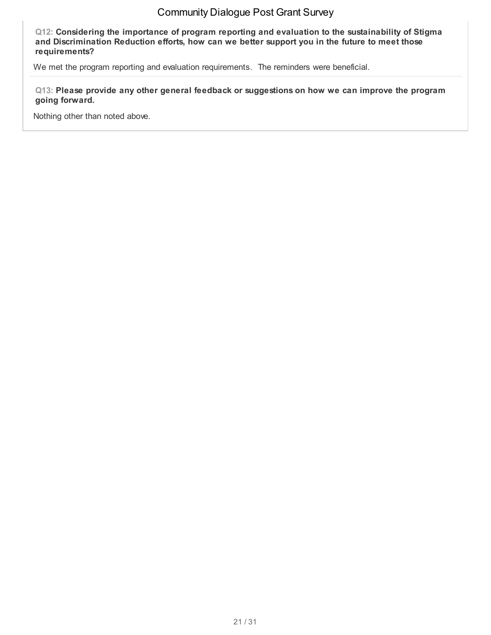**Q12: Considering the importance of program reporting and evaluation to the sustainability of Stigma and Discrimination Reduction efforts, how can we better support you in the future to meet those requirements?**

We met the program reporting and evaluation requirements. The reminders were beneficial.

**Q13: Please provide any other general feedback or suggestions on how we can improve the program going forward.**

Nothing other than noted above.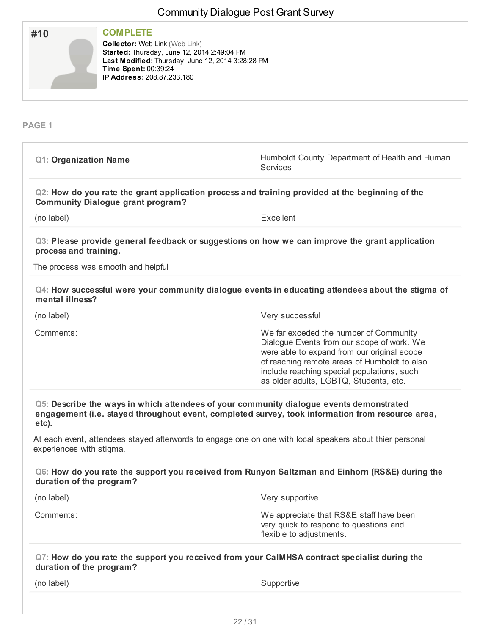| <b>COMPLETE</b><br>#10<br><b>Collector: Web Link (Web Link)</b><br>Started: Thursday, June 12, 2014 2:49:04 PM<br>Last Modified: Thursday, June 12, 2014 3:28:28 PM<br>Time Spent: 00:39:24<br>IP Address: 208.87.233.180 |                                                                                                                                                                                                                                                                             |
|---------------------------------------------------------------------------------------------------------------------------------------------------------------------------------------------------------------------------|-----------------------------------------------------------------------------------------------------------------------------------------------------------------------------------------------------------------------------------------------------------------------------|
| PAGE <sub>1</sub>                                                                                                                                                                                                         |                                                                                                                                                                                                                                                                             |
| <b>Q1: Organization Name</b>                                                                                                                                                                                              | Humboldt County Department of Health and Human<br><b>Services</b>                                                                                                                                                                                                           |
| <b>Community Dialogue grant program?</b>                                                                                                                                                                                  | Q2: How do you rate the grant application process and training provided at the beginning of the                                                                                                                                                                             |
| (no label)                                                                                                                                                                                                                | Excellent                                                                                                                                                                                                                                                                   |
| process and training.                                                                                                                                                                                                     | Q3: Please provide general feedback or suggestions on how we can improve the grant application                                                                                                                                                                              |
| The process was smooth and helpful                                                                                                                                                                                        |                                                                                                                                                                                                                                                                             |
| mental illness?                                                                                                                                                                                                           | Q4: How successful were your community dialogue events in educating attendees about the stigma of                                                                                                                                                                           |
| (no label)                                                                                                                                                                                                                | Very successful                                                                                                                                                                                                                                                             |
| Comments:                                                                                                                                                                                                                 | We far exceded the number of Community<br>Dialogue Events from our scope of work. We<br>were able to expand from our original scope<br>of reaching remote areas of Humboldt to also<br>include reaching special populations, such<br>as older adults, LGBTQ, Students, etc. |
| Q5: Describe the ways in which attendees of your community dialogue events demonstrated<br>etc).                                                                                                                          | engagement (i.e. stayed throughout event, completed survey, took information from resource area,                                                                                                                                                                            |
| experiences with stigma.                                                                                                                                                                                                  | At each event, attendees stayed afterwords to engage one on one with local speakers about thier personal                                                                                                                                                                    |
| duration of the program?                                                                                                                                                                                                  | Q6: How do you rate the support you received from Runyon Saltzman and Einhorn (RS&E) during the                                                                                                                                                                             |
| (no label)                                                                                                                                                                                                                | Very supportive                                                                                                                                                                                                                                                             |
| Comments:                                                                                                                                                                                                                 | We appreciate that RS&E staff have been<br>very quick to respond to questions and<br>flexible to adjustments.                                                                                                                                                               |
| duration of the program?                                                                                                                                                                                                  | Q7: How do you rate the support you received from your CaIMHSA contract specialist during the                                                                                                                                                                               |
| (no label)                                                                                                                                                                                                                | Supportive                                                                                                                                                                                                                                                                  |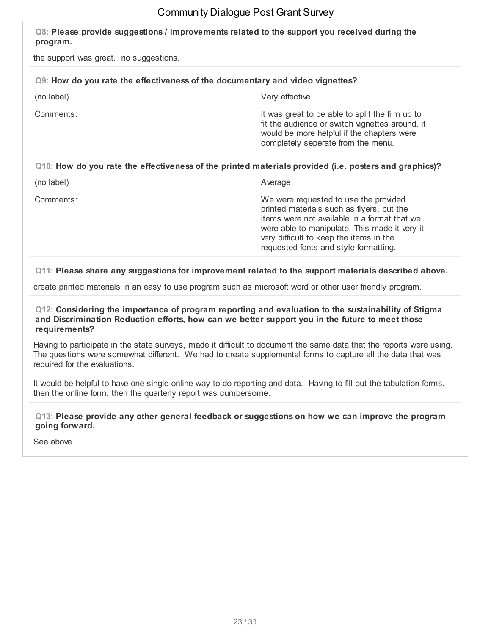#### **Q8: Please provide suggestions / improvements related to the support you received during the program.**

the support was great. no suggestions.

| Q9: How do you rate the effectiveness of the documentary and video vignettes? |                                                                                                                                                                                                                                |
|-------------------------------------------------------------------------------|--------------------------------------------------------------------------------------------------------------------------------------------------------------------------------------------------------------------------------|
| (no label)                                                                    | Very effective                                                                                                                                                                                                                 |
| Comments:                                                                     | it was great to be able to split the film up to<br>fit the audience or switch vignettes around. it<br>would be more helpful if the chapters were<br>completely seperate from the menu.                                         |
|                                                                               | Q10: How do you rate the effectiveness of the printed materials provided (i.e. posters and graphics)?                                                                                                                          |
| (no label)                                                                    | Average                                                                                                                                                                                                                        |
| Comments:                                                                     | We were requested to use the provided<br>printed materials such as flyers, but the<br>items were not available in a format that we<br>were able to manipulate. This made it very it<br>very difficult to keep the items in the |

**Q11: Please share any suggestions for improvement related to the support materials described above.**

requested fonts and style formatting.

create printed materials in an easy to use program such as microsoft word or other user friendly program.

#### **Q12: Considering the importance of program reporting and evaluation to the sustainability of Stigma and Discrimination Reduction efforts, how can we better support you in the future to meet those requirements?**

Having to participate in the state surveys, made it difficult to document the same data that the reports were using. The questions were somewhat different. We had to create supplemental forms to capture all the data that was required for the evaluations.

It would be helpful to have one single online way to do reporting and data. Having to fill out the tabulation forms, then the online form, then the quarterly report was cumbersome.

**Q13: Please provide any other general feedback or suggestions on how we can improve the program going forward.**

See above.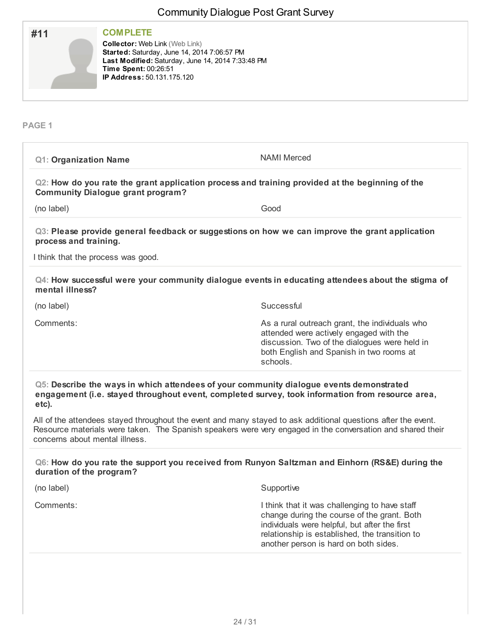|                                          | <b>OUTHING ITY DIAIOGACT OUT OTAL OUI VCY</b>                                                                                                                                                                                            |
|------------------------------------------|------------------------------------------------------------------------------------------------------------------------------------------------------------------------------------------------------------------------------------------|
| #11                                      | <b>COMPLETE</b><br><b>Collector: Web Link (Web Link)</b><br>Started: Saturday, June 14, 2014 7:06:57 PM<br>Last Modified: Saturday, June 14, 2014 7:33:48 PM<br>Time Spent: 00:26:51<br>IP Address: 50.131.175.120                       |
| PAGE <sub>1</sub>                        |                                                                                                                                                                                                                                          |
| <b>Q1: Organization Name</b>             | <b>NAMI Merced</b>                                                                                                                                                                                                                       |
| <b>Community Dialogue grant program?</b> | Q2: How do you rate the grant application process and training provided at the beginning of the                                                                                                                                          |
| (no label)                               | Good                                                                                                                                                                                                                                     |
| process and training.                    | Q3: Please provide general feedback or suggestions on how we can improve the grant application                                                                                                                                           |
| I think that the process was good.       |                                                                                                                                                                                                                                          |
| mental illness?                          | Q4: How successful were your community dialogue events in educating attendees about the stigma of                                                                                                                                        |
| (no label)                               | Successful                                                                                                                                                                                                                               |
| Comments:                                | As a rural outreach grant, the individuals who<br>attended were actively engaged with the<br>discussion. Two of the dialogues were held in<br>both English and Spanish in two rooms at<br>schools.                                       |
| etc).                                    | Q5: Describe the ways in which attendees of your community dialogue events demonstrated<br>engagement (i.e. stayed throughout event, completed survey, took information from resource area,                                              |
| concerns about mental illness.           | All of the attendees stayed throughout the event and many stayed to ask additional questions after the event.<br>Resource materials were taken. The Spanish speakers were very engaged in the conversation and shared their              |
| duration of the program?                 | Q6: How do you rate the support you received from Runyon Saltzman and Einhorn (RS&E) during the                                                                                                                                          |
| (no label)                               | Supportive                                                                                                                                                                                                                               |
| Comments:                                | I think that it was challenging to have staff<br>change during the course of the grant. Both<br>individuals were helpful, but after the first<br>relationship is established, the transition to<br>another person is hard on both sides. |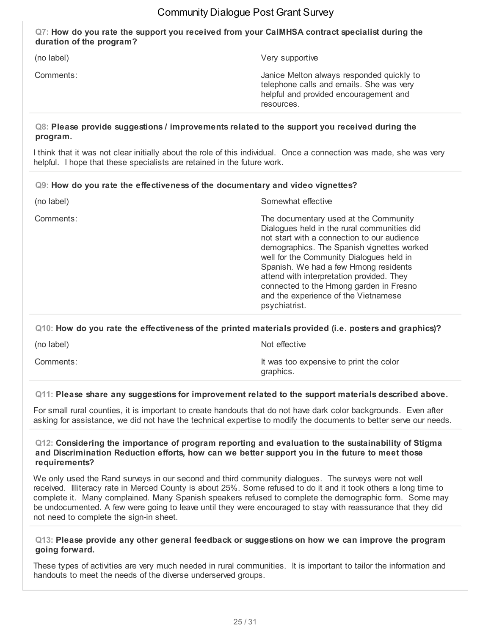#### **Q7: How do you rate the support you received from your CalMHSA contract specialist during the duration of the program?**

(no label) Very supportive

Comments: Janice Melton always responded quickly to telephone calls and emails. She was very helpful and provided encouragement and resources.

#### **Q8: Please provide suggestions / improvements related to the support you received during the program.**

I think that it was not clear initially about the role of this individual. Once a connection was made, she was very helpful. I hope that these specialists are retained in the future work.

#### **Q9: How do you rate the effectiveness of the documentary and video vignettes?**

| (no label) | Somewhat effective                                                                                                                                                                                                                                                                                                                                                                                                      |
|------------|-------------------------------------------------------------------------------------------------------------------------------------------------------------------------------------------------------------------------------------------------------------------------------------------------------------------------------------------------------------------------------------------------------------------------|
| Comments:  | The documentary used at the Community<br>Dialogues held in the rural communities did<br>not start with a connection to our audience<br>demographics. The Spanish vignettes worked<br>well for the Community Dialogues held in<br>Spanish. We had a few Hmong residents<br>attend with interpretation provided. They<br>connected to the Hmong garden in Fresno<br>and the experience of the Vietnamese<br>psychiatrist. |
|            |                                                                                                                                                                                                                                                                                                                                                                                                                         |

#### **Q10: How do you rate the effectiveness of the printed materials provided (i.e. posters and graphics)?**

(no label) Not effective

Comments: Comments: It was too expensive to print the color graphics.

#### **Q11: Please share any suggestions for improvement related to the support materials described above.**

For small rural counties, it is important to create handouts that do not have dark color backgrounds. Even after asking for assistance, we did not have the technical expertise to modify the documents to better serve our needs.

#### **Q12: Considering the importance of program reporting and evaluation to the sustainability of Stigma and Discrimination Reduction efforts, how can we better support you in the future to meet those requirements?**

We only used the Rand surveys in our second and third community dialogues. The surveys were not well received. Illiteracy rate in Merced County is about 25%. Some refused to do it and it took others a long time to complete it. Many complained. Many Spanish speakers refused to complete the demographic form. Some may be undocumented. A few were going to leave until they were encouraged to stay with reassurance that they did not need to complete the sign-in sheet.

#### **Q13: Please provide any other general feedback or suggestions on how we can improve the program going forward.**

These types of activities are very much needed in rural communities. It is important to tailor the information and handouts to meet the needs of the diverse underserved groups.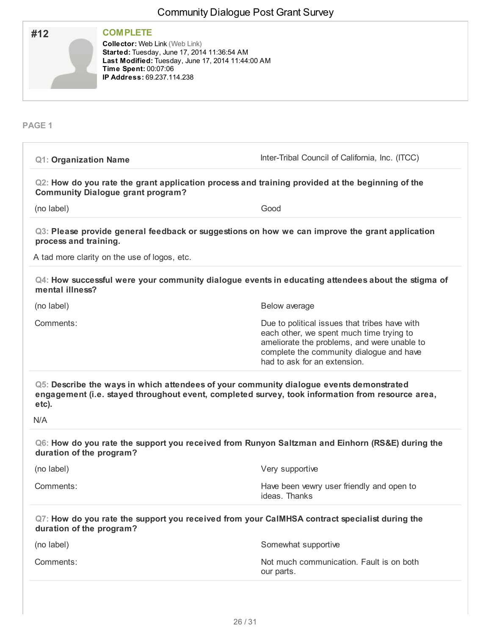| <b>COMPLETE</b><br>#12<br><b>Collector: Web Link (Web Link)</b><br>Started: Tuesday, June 17, 2014 11:36:54 AM<br>Time Spent: 00:07:06<br>IP Address: 69.237.114.238 | Last Modified: Tuesday, June 17, 2014 11:44:00 AM                                                                                                                                                                    |
|----------------------------------------------------------------------------------------------------------------------------------------------------------------------|----------------------------------------------------------------------------------------------------------------------------------------------------------------------------------------------------------------------|
| PAGE <sub>1</sub>                                                                                                                                                    |                                                                                                                                                                                                                      |
| <b>Q1: Organization Name</b>                                                                                                                                         | Inter-Tribal Council of California, Inc. (ITCC)                                                                                                                                                                      |
| <b>Community Dialogue grant program?</b>                                                                                                                             | Q2: How do you rate the grant application process and training provided at the beginning of the                                                                                                                      |
| (no label)                                                                                                                                                           | Good                                                                                                                                                                                                                 |
| process and training.                                                                                                                                                | Q3: Please provide general feedback or suggestions on how we can improve the grant application                                                                                                                       |
| A tad more clarity on the use of logos, etc.                                                                                                                         |                                                                                                                                                                                                                      |
| mental illness?                                                                                                                                                      | Q4: How successful were your community dialogue events in educating attendees about the stigma of                                                                                                                    |
| (no label)                                                                                                                                                           | Below average                                                                                                                                                                                                        |
| Comments:                                                                                                                                                            | Due to political issues that tribes have with<br>each other, we spent much time trying to<br>ameliorate the problems, and were unable to<br>complete the community dialogue and have<br>had to ask for an extension. |
| etc).<br>N/A                                                                                                                                                         | Q5: Describe the ways in which attendees of your community dialogue events demonstrated<br>engagement (i.e. stayed throughout event, completed survey, took information from resource area,                          |
| duration of the program?                                                                                                                                             | Q6: How do you rate the support you received from Runyon Saltzman and Einhorn (RS&E) during the                                                                                                                      |
| (no label)                                                                                                                                                           | Very supportive                                                                                                                                                                                                      |
| Comments:                                                                                                                                                            | Have been vewry user friendly and open to<br>ideas. Thanks                                                                                                                                                           |
| duration of the program?                                                                                                                                             | Q7: How do you rate the support you received from your CaIMHSA contract specialist during the                                                                                                                        |
| (no label)                                                                                                                                                           | Somewhat supportive                                                                                                                                                                                                  |
|                                                                                                                                                                      | Not much communication. Fault is on both                                                                                                                                                                             |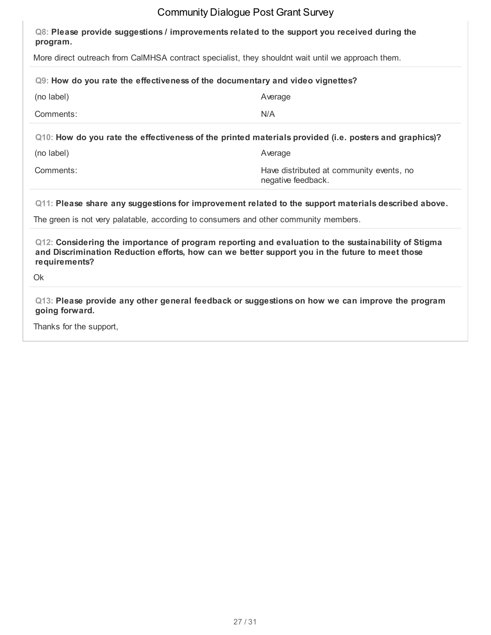| Q8: Please provide suggestions / improvements related to the support you received during the<br>program.                                                                                                                      |                                                                |  |
|-------------------------------------------------------------------------------------------------------------------------------------------------------------------------------------------------------------------------------|----------------------------------------------------------------|--|
| More direct outreach from CaIMHSA contract specialist, they shouldnt wait until we approach them.                                                                                                                             |                                                                |  |
| Q9: How do you rate the effectiveness of the documentary and video vignettes?                                                                                                                                                 |                                                                |  |
| (no label)                                                                                                                                                                                                                    | Average                                                        |  |
| Comments:                                                                                                                                                                                                                     | N/A                                                            |  |
| Q10: How do you rate the effectiveness of the printed materials provided (i.e. posters and graphics)?                                                                                                                         |                                                                |  |
| (no label)                                                                                                                                                                                                                    | Average                                                        |  |
| Comments:                                                                                                                                                                                                                     | Have distributed at community events, no<br>negative feedback. |  |
| Q11: Please share any suggestions for improvement related to the support materials described above.                                                                                                                           |                                                                |  |
| The green is not very palatable, according to consumers and other community members.                                                                                                                                          |                                                                |  |
| Q12: Considering the importance of program reporting and evaluation to the sustainability of Stigma<br>and Discrimination Reduction efforts, how can we better support you in the future to meet those<br>requirements?<br>Ok |                                                                |  |

**Q13: Please provide any other general feedback or suggestions on how we can improve the program going forward.**

Thanks for the support,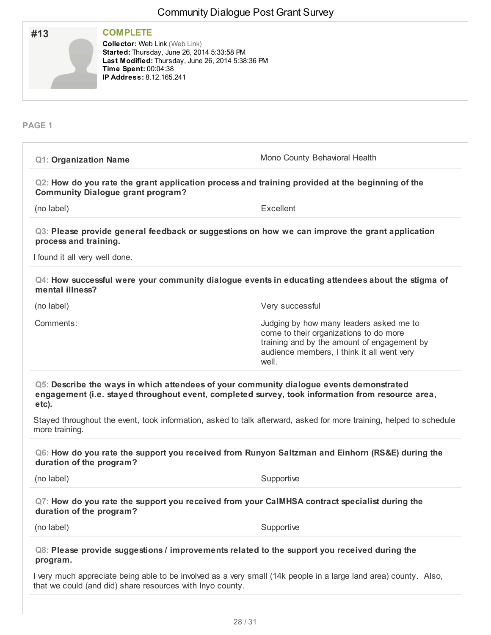|                                                         |                                                                                                                                                                                                                  | 011111111111119 Dialogao I ool Olani oanvoj                                                                                                                                                 |
|---------------------------------------------------------|------------------------------------------------------------------------------------------------------------------------------------------------------------------------------------------------------------------|---------------------------------------------------------------------------------------------------------------------------------------------------------------------------------------------|
| #13                                                     | <b>COMPLETE</b><br><b>Collector: Web Link (Web Link)</b><br>Started: Thursday, June 26, 2014 5:33:58 PM<br>Last Modified: Thursday, June 26, 2014 5:38:36 PM<br>Time Spent: 00:04:38<br>IP Address: 8.12.165.241 |                                                                                                                                                                                             |
| <b>PAGE 1</b>                                           |                                                                                                                                                                                                                  |                                                                                                                                                                                             |
| <b>Q1: Organization Name</b>                            |                                                                                                                                                                                                                  | Mono County Behavioral Health                                                                                                                                                               |
|                                                         | <b>Community Dialogue grant program?</b>                                                                                                                                                                         | Q2: How do you rate the grant application process and training provided at the beginning of the                                                                                             |
| (no label)                                              |                                                                                                                                                                                                                  | Excellent                                                                                                                                                                                   |
| process and training.<br>I found it all very well done. |                                                                                                                                                                                                                  | Q3: Please provide general feedback or suggestions on how we can improve the grant application                                                                                              |
| mental illness?                                         |                                                                                                                                                                                                                  | Q4: How successful were your community dialogue events in educating attendees about the stigma of                                                                                           |
| (no label)                                              |                                                                                                                                                                                                                  | Very successful                                                                                                                                                                             |
| Comments:                                               |                                                                                                                                                                                                                  | Judging by how many leaders asked me to<br>come to their organizations to do more<br>training and by the amount of engagement by<br>audience members, I think it all went very<br>well.     |
| etc).                                                   |                                                                                                                                                                                                                  | Q5: Describe the ways in which attendees of your community dialogue events demonstrated<br>engagement (i.e. stayed throughout event, completed survey, took information from resource area, |
| more training.                                          |                                                                                                                                                                                                                  | Stayed throughout the event, took information, asked to talk afterward, asked for more training, helped to schedule                                                                         |
| duration of the program?                                |                                                                                                                                                                                                                  | Q6: How do you rate the support you received from Runyon Saltzman and Einhorn (RS&E) during the                                                                                             |
| (no label)                                              |                                                                                                                                                                                                                  | Supportive                                                                                                                                                                                  |
| duration of the program?                                |                                                                                                                                                                                                                  | Q7: How do you rate the support you received from your CaIMHSA contract specialist during the                                                                                               |
| (no label)                                              |                                                                                                                                                                                                                  | Supportive                                                                                                                                                                                  |
| program.                                                |                                                                                                                                                                                                                  | Q8: Please provide suggestions / improvements related to the support you received during the                                                                                                |
|                                                         | that we could (and did) share resources with Inyo county.                                                                                                                                                        | I very much appreciate being able to be involved as a very small (14k people in a large land area) county. Also,                                                                            |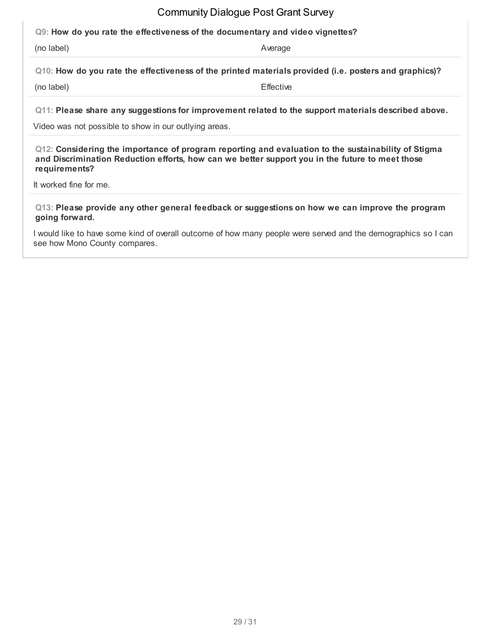#### **Q9: How do you rate the effectiveness of the documentary and video vignettes?**

(no label) and a series of the series of the series of the series of the series of the Average

**Q10: How do you rate the effectiveness of the printed materials provided (i.e. posters and graphics)?**

(no label) Effective

**Q11: Please share any suggestions for improvement related to the support materials described above.**

Video was not possible to show in our outlying areas.

**Q12: Considering the importance of program reporting and evaluation to the sustainability of Stigma and Discrimination Reduction efforts, how can we better support you in the future to meet those requirements?**

It worked fine for me.

**Q13: Please provide any other general feedback or suggestions on how we can improve the program going forward.**

I would like to have some kind of overall outcome of how many people were served and the demographics so I can see how Mono County compares.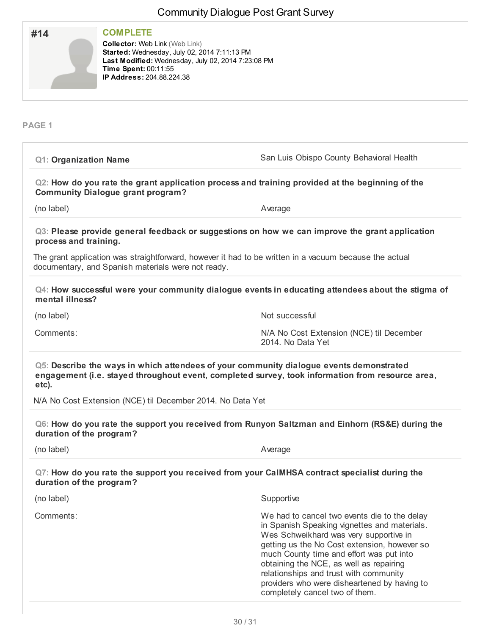| <b>COMPLETE</b><br>#14<br><b>Collector: Web Link (Web Link)</b><br>Started: Wednesday, July 02, 2014 7:11:13 PM<br>Time Spent: 00:11:55<br>IP Address: 204.88.224.38 | Last Modified: Wednesday, July 02, 2014 7:23:08 PM                                                                                                                                                                                                                                                                                                                                                        |
|----------------------------------------------------------------------------------------------------------------------------------------------------------------------|-----------------------------------------------------------------------------------------------------------------------------------------------------------------------------------------------------------------------------------------------------------------------------------------------------------------------------------------------------------------------------------------------------------|
| PAGE <sub>1</sub>                                                                                                                                                    |                                                                                                                                                                                                                                                                                                                                                                                                           |
| <b>Q1: Organization Name</b>                                                                                                                                         | San Luis Obispo County Behavioral Health                                                                                                                                                                                                                                                                                                                                                                  |
| <b>Community Dialogue grant program?</b>                                                                                                                             | Q2: How do you rate the grant application process and training provided at the beginning of the                                                                                                                                                                                                                                                                                                           |
| (no label)                                                                                                                                                           | Average                                                                                                                                                                                                                                                                                                                                                                                                   |
| process and training.                                                                                                                                                | Q3: Please provide general feedback or suggestions on how we can improve the grant application                                                                                                                                                                                                                                                                                                            |
| documentary, and Spanish materials were not ready.                                                                                                                   | The grant application was straightforward, however it had to be written in a vacuum because the actual                                                                                                                                                                                                                                                                                                    |
| mental illness?                                                                                                                                                      | Q4: How successful were your community dialogue events in educating attendees about the stigma of                                                                                                                                                                                                                                                                                                         |
| (no label)                                                                                                                                                           | Not successful                                                                                                                                                                                                                                                                                                                                                                                            |
| Comments:                                                                                                                                                            | N/A No Cost Extension (NCE) til December<br>2014. No Data Yet                                                                                                                                                                                                                                                                                                                                             |
| etc).                                                                                                                                                                | Q5: Describe the ways in which attendees of your community dialogue events demonstrated<br>engagement (i.e. stayed throughout event, completed survey, took information from resource area                                                                                                                                                                                                                |
| N/A No Cost Extension (NCE) til December 2014. No Data Yet                                                                                                           |                                                                                                                                                                                                                                                                                                                                                                                                           |
| duration of the program?                                                                                                                                             | Q6: How do you rate the support you received from Runyon Saltzman and Einhorn (RS&E) during the                                                                                                                                                                                                                                                                                                           |
| (no label)                                                                                                                                                           | Average                                                                                                                                                                                                                                                                                                                                                                                                   |
| duration of the program?                                                                                                                                             | Q7: How do you rate the support you received from your CaIMHSA contract specialist during the                                                                                                                                                                                                                                                                                                             |
| (no label)                                                                                                                                                           | Supportive                                                                                                                                                                                                                                                                                                                                                                                                |
| Comments:                                                                                                                                                            | We had to cancel two events die to the delay<br>in Spanish Speaking vignettes and materials.<br>Wes Schweikhard was very supportive in<br>getting us the No Cost extension, however so<br>much County time and effort was put into<br>obtaining the NCE, as well as repairing<br>relationships and trust with community<br>providers who were disheartened by having to<br>completely cancel two of them. |